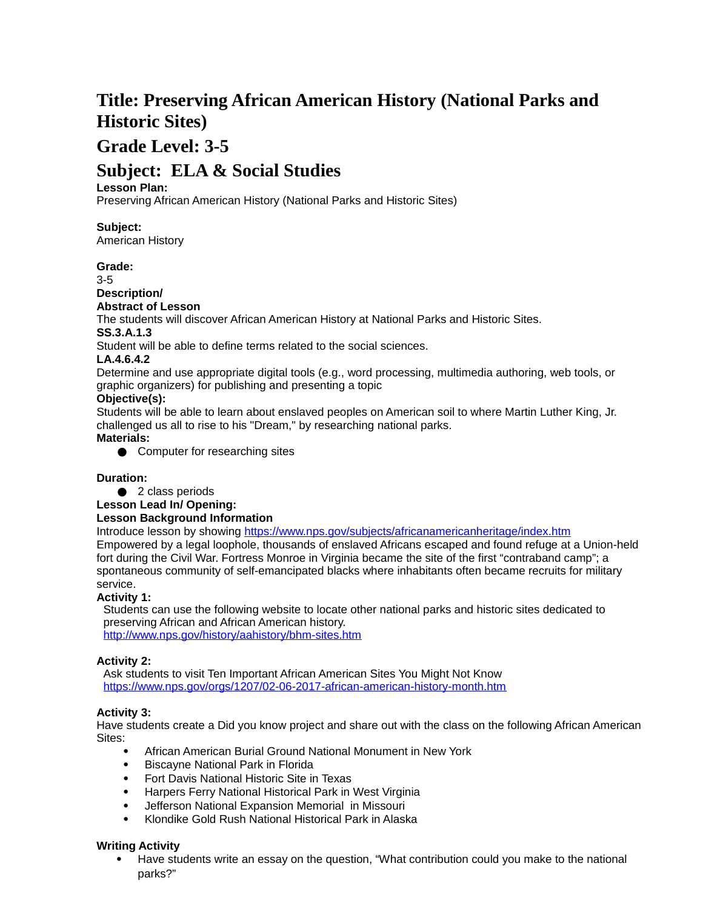# **Title: Preserving African American History (National Parks and Historic Sites)**

### **Grade Level: 3-5**

## **Subject: ELA & Social Studies**

#### **Lesson Plan:**

Preserving African American History (National Parks and Historic Sites)

#### **Subject:**

American History

#### **Grade:**

3-5

#### **Description/**

**Abstract of Lesson**

The students will discover African American History at National Parks and Historic Sites.

#### **SS.3.A.1.3**

Student will be able to define terms related to the social sciences.

#### **LA.4.6.4.2**

Determine and use appropriate digital tools (e.g., word processing, multimedia authoring, web tools, or graphic organizers) for publishing and presenting a topic

#### **Objective(s):**

Students will be able to learn about enslaved peoples on American soil to where Martin Luther King, Jr. challenged us all to rise to his "Dream," by researching national parks.

### **Materials:**

**●** Computer for researching sites

#### **Duration:**

● 2 class periods

#### **Lesson Lead In/ Opening:**

#### **Lesson Background Information**

Introduce lesson by showing<https://www.nps.gov/subjects/africanamericanheritage/index.htm>

Empowered by a legal loophole, thousands of enslaved Africans escaped and found refuge at a Union-held fort during the Civil War. Fortress Monroe in Virginia became the site of the first "contraband camp"; a spontaneous community of self-emancipated blacks where inhabitants often became recruits for military service.

#### **Activity 1:**

Students can use the following website to locate other national parks and historic sites dedicated to preserving African and African American history. <http://www.nps.gov/history/aahistory/bhm-sites.htm>

#### **Activity 2:**

Ask students to visit Ten Important African American Sites You Might Not Know <https://www.nps.gov/orgs/1207/02-06-2017-african-american-history-month.htm>

#### **Activity 3:**

Have students create a Did you know project and share out with the class on the following African American Sites:

- African American Burial Ground National Monument in New York
- Biscayne National Park in Florida
- Fort Davis National Historic Site in Texas
- Harpers Ferry National Historical Park in West Virginia
- Jefferson National Expansion Memorial in Missouri
- Klondike Gold Rush National Historical Park in Alaska

#### **Writing Activity**

 Have students write an essay on the question, "What contribution could you make to the national parks?"